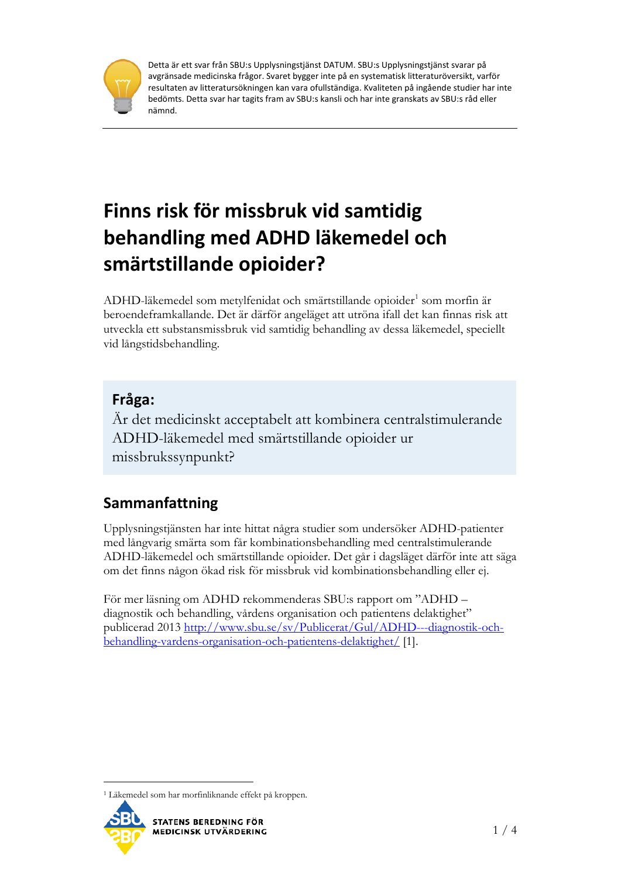

Detta är ett svar från SBU:s Upplysningstjänst DATUM. SBU:s Upplysningstjänst svarar på avgränsade medicinska frågor. Svaret bygger inte på en systematisk litteraturöversikt, varför resultaten av litteratursökningen kan vara ofullständiga. Kvaliteten på ingående studier har inte bedömts. Detta svar har tagits fram av SBU:s kansli och har inte granskats av SBU:s råd eller nämnd.

# **Finns risk för missbruk vid samtidig behandling med ADHD läkemedel och smärtstillande opioider?**

ADHD-läkemedel som metylfenidat och smärtstillande opioider<sup>[1](#page-0-0)</sup> som morfin är beroendeframkallande. Det är därför angeläget att utröna ifall det kan finnas risk att utveckla ett substansmissbruk vid samtidig behandling av dessa läkemedel, speciellt vid långstidsbehandling.

# **Fråga:**

Är det medicinskt acceptabelt att kombinera centralstimulerande ADHD-läkemedel med smärtstillande opioider ur missbrukssynpunkt?

# **Sammanfattning**

Upplysningstjänsten har inte hittat några studier som undersöker ADHD-patienter med långvarig smärta som får kombinationsbehandling med centralstimulerande ADHD-läkemedel och smärtstillande opioider. Det går i dagsläget därför inte att säga om det finns någon ökad risk för missbruk vid kombinationsbehandling eller ej.

För mer läsning om ADHD rekommenderas SBU:s rapport om "ADHD – diagnostik och behandling, vårdens organisation och patientens delaktighet" publicerad 2013 [http://www.sbu.se/sv/Publicerat/Gul/ADHD---diagnostik-och](http://www.sbu.se/sv/Publicerat/Gul/ADHD---diagnostik-och-behandling-vardens-organisation-och-patientens-delaktighet/)[behandling-vardens-organisation-och-patientens-delaktighet/](http://www.sbu.se/sv/Publicerat/Gul/ADHD---diagnostik-och-behandling-vardens-organisation-och-patientens-delaktighet/) [1].

<span id="page-0-0"></span> <sup>1</sup> Läkemedel som har morfinliknande effekt på kroppen.

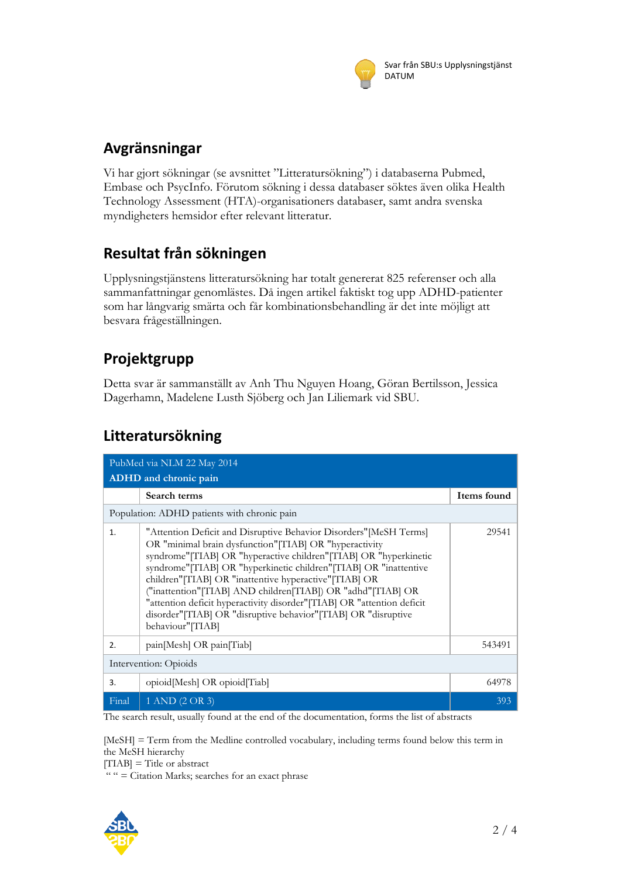

# **Avgränsningar**

Vi har gjort sökningar (se avsnittet "Litteratursökning") i databaserna Pubmed, Embase och PsycInfo. Förutom sökning i dessa databaser söktes även olika Health Technology Assessment (HTA)-organisationers databaser, samt andra svenska myndigheters hemsidor efter relevant litteratur.

### **Resultat från sökningen**

Upplysningstjänstens litteratursökning har totalt genererat 825 referenser och alla sammanfattningar genomlästes. Då ingen artikel faktiskt tog upp ADHD-patienter som har långvarig smärta och får kombinationsbehandling är det inte möjligt att besvara frågeställningen.

# **Projektgrupp**

Detta svar är sammanställt av Anh Thu Nguyen Hoang, Göran Bertilsson, Jessica Dagerhamn, Madelene Lusth Sjöberg och Jan Liliemark vid SBU.

#### **Litteratursökning**

| PubMed via NLM 22 May 2014 |                                                                                                                                                                                                                                                                                                                                                                                                                                                                                                                                                                  |             |  |  |
|----------------------------|------------------------------------------------------------------------------------------------------------------------------------------------------------------------------------------------------------------------------------------------------------------------------------------------------------------------------------------------------------------------------------------------------------------------------------------------------------------------------------------------------------------------------------------------------------------|-------------|--|--|
|                            | <b>ADHD</b> and chronic pain<br>Search terms                                                                                                                                                                                                                                                                                                                                                                                                                                                                                                                     | Items found |  |  |
|                            | Population: ADHD patients with chronic pain                                                                                                                                                                                                                                                                                                                                                                                                                                                                                                                      |             |  |  |
| 1.                         | "Attention Deficit and Disruptive Behavior Disorders" [MeSH Terms]<br>OR "minimal brain dysfunction" [TIAB] OR "hyperactivity<br>syndrome"[TIAB] OR "hyperactive children"[TIAB] OR "hyperkinetic<br>syndrome"[TIAB] OR "hyperkinetic children"[TIAB] OR "inattentive<br>children"[TIAB] OR "inattentive hyperactive"[TIAB] OR<br>("inattention" [TIAB] AND children [TIAB]) OR "adhd" [TIAB] OR<br>"attention deficit hyperactivity disorder" [TIAB] OR "attention deficit<br>disorder"[TIAB] OR "disruptive behavior"[TIAB] OR "disruptive<br>behaviour"[TIAB] | 29541       |  |  |
| 2.                         | pain[Mesh] OR pain[Tiab]                                                                                                                                                                                                                                                                                                                                                                                                                                                                                                                                         | 543491      |  |  |
| Intervention: Opioids      |                                                                                                                                                                                                                                                                                                                                                                                                                                                                                                                                                                  |             |  |  |
| 3.                         | opioid[Mesh] OR opioid[Tiab]                                                                                                                                                                                                                                                                                                                                                                                                                                                                                                                                     | 64978       |  |  |
| Final                      | 1 AND (2 OR 3)                                                                                                                                                                                                                                                                                                                                                                                                                                                                                                                                                   | 393         |  |  |

The search result, usually found at the end of the documentation, forms the list of abstracts

[MeSH] = Term from the Medline controlled vocabulary, including terms found below this term in the MeSH hierarchy

 $[TIAB] = Title or abstract$ 

 $''$  " = Citation Marks; searches for an exact phrase

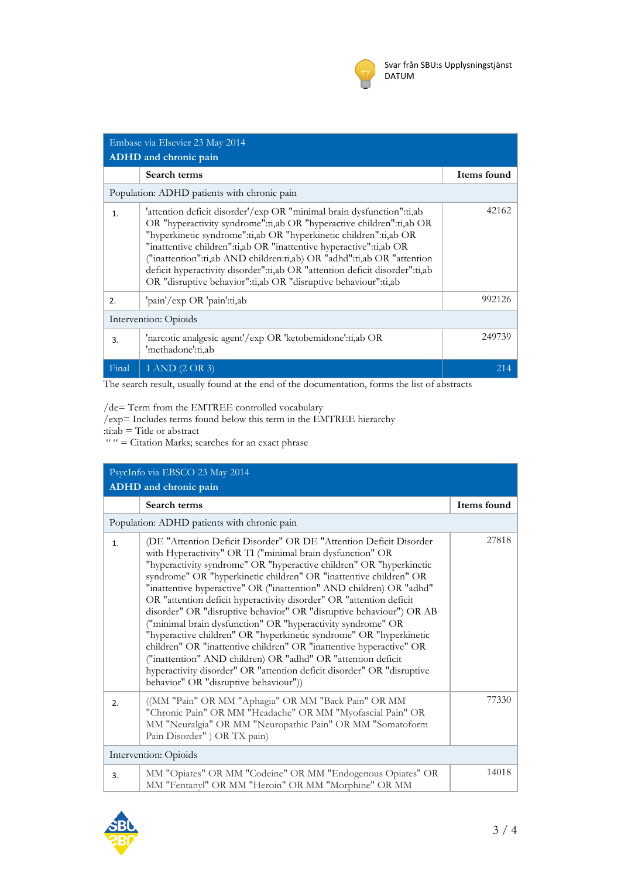

| Embase via Elsevier 23 May 2014             |                                                                                                                                                                                                                                                                                                                                                                                                                                                                                                                     |             |  |  |
|---------------------------------------------|---------------------------------------------------------------------------------------------------------------------------------------------------------------------------------------------------------------------------------------------------------------------------------------------------------------------------------------------------------------------------------------------------------------------------------------------------------------------------------------------------------------------|-------------|--|--|
| ADHD and chronic pain                       |                                                                                                                                                                                                                                                                                                                                                                                                                                                                                                                     |             |  |  |
|                                             | Search terms                                                                                                                                                                                                                                                                                                                                                                                                                                                                                                        | Items found |  |  |
| Population: ADHD patients with chronic pain |                                                                                                                                                                                                                                                                                                                                                                                                                                                                                                                     |             |  |  |
| 1.                                          | 'attention deficit disorder'/exp OR "minimal brain dysfunction":ti,ab<br>OR "hyperactivity syndrome":ti,ab OR "hyperactive children":ti,ab OR<br>"hyperkinetic syndrome":ti,ab OR "hyperkinetic children":ti,ab OR<br>"inattentive children":ti,ab OR "inattentive hyperactive":ti,ab OR<br>("inattention":ti,ab AND children:ti,ab) OR "adhd":ti,ab OR "attention<br>deficit hyperactivity disorder":ti,ab OR "attention deficit disorder":ti,ab<br>OR "disruptive behavior":ti,ab OR "disruptive behaviour":ti,ab | 42162       |  |  |
| $\mathcal{P}_{\cdot}$                       | 'pain'/exp OR 'pain':ti,ab                                                                                                                                                                                                                                                                                                                                                                                                                                                                                          | 992126      |  |  |
| Intervention: Opioids                       |                                                                                                                                                                                                                                                                                                                                                                                                                                                                                                                     |             |  |  |
| 3.                                          | 'narcotic analgesic agent'/exp OR 'ketobemidone':ti,ab OR<br>'methadone':ti,ab                                                                                                                                                                                                                                                                                                                                                                                                                                      | 249739      |  |  |
| Final                                       | 1 AND (2 OR 3)                                                                                                                                                                                                                                                                                                                                                                                                                                                                                                      | 214         |  |  |

The search result, usually found at the end of the documentation, forms the list of abstracts

/de= Term from the EMTREE controlled vocabulary

/exp= Includes terms found below this term in the EMTREE hierarchy

: $\text{t}$ i: $\text{ab} = \text{Title}$  or abstract

" "  $=$  Citation Marks; searches for an exact phrase

| PsycInfo via EBSCO 23 May 2014              |                                                                                                                                                                                                                                                                                                                                                                                                                                                                                                                                                                                                                                                                                                                                                                                                                                                                                                 |             |  |  |
|---------------------------------------------|-------------------------------------------------------------------------------------------------------------------------------------------------------------------------------------------------------------------------------------------------------------------------------------------------------------------------------------------------------------------------------------------------------------------------------------------------------------------------------------------------------------------------------------------------------------------------------------------------------------------------------------------------------------------------------------------------------------------------------------------------------------------------------------------------------------------------------------------------------------------------------------------------|-------------|--|--|
| ADHD and chronic pain                       |                                                                                                                                                                                                                                                                                                                                                                                                                                                                                                                                                                                                                                                                                                                                                                                                                                                                                                 |             |  |  |
|                                             | Search terms                                                                                                                                                                                                                                                                                                                                                                                                                                                                                                                                                                                                                                                                                                                                                                                                                                                                                    | Items found |  |  |
| Population: ADHD patients with chronic pain |                                                                                                                                                                                                                                                                                                                                                                                                                                                                                                                                                                                                                                                                                                                                                                                                                                                                                                 |             |  |  |
| $\mathbf{1}$ .                              | (DE "Attention Deficit Disorder" OR DE "Attention Deficit Disorder<br>with Hyperactivity" OR TI ("minimal brain dysfunction" OR<br>"hyperactivity syndrome" OR "hyperactive children" OR "hyperkinetic<br>syndrome" OR "hyperkinetic children" OR "inattentive children" OR<br>"inattentive hyperactive" OR ("inattention" AND children) OR "adhd"<br>OR "attention deficit hyperactivity disorder" OR "attention deficit<br>disorder" OR "disruptive behavior" OR "disruptive behaviour") OR AB<br>("minimal brain dysfunction" OR "hyperactivity syndrome" OR<br>"hyperactive children" OR "hyperkinetic syndrome" OR "hyperkinetic<br>children" OR "inattentive children" OR "inattentive hyperactive" OR<br>("inattention" AND children) OR "adhd" OR "attention deficit<br>hyperactivity disorder" OR "attention deficit disorder" OR "disruptive<br>behavior" OR "disruptive behaviour")) | 27818       |  |  |
| 2.                                          | ((MM "Pain" OR MM "Aphagia" OR MM "Back Pain" OR MM<br>"Chronic Pain" OR MM "Headache" OR MM "Myofascial Pain" OR<br>MM "Neuralgia" OR MM "Neuropathic Pain" OR MM "Somatoform<br>Pain Disorder" ) OR TX pain)                                                                                                                                                                                                                                                                                                                                                                                                                                                                                                                                                                                                                                                                                  | 77330       |  |  |
| Intervention: Opioids                       |                                                                                                                                                                                                                                                                                                                                                                                                                                                                                                                                                                                                                                                                                                                                                                                                                                                                                                 |             |  |  |
| 3.                                          | MM "Opiates" OR MM "Codeine" OR MM "Endogenous Opiates" OR<br>MM "Fentanyl" OR MM "Heroin" OR MM "Morphine" OR MM                                                                                                                                                                                                                                                                                                                                                                                                                                                                                                                                                                                                                                                                                                                                                                               | 14018       |  |  |